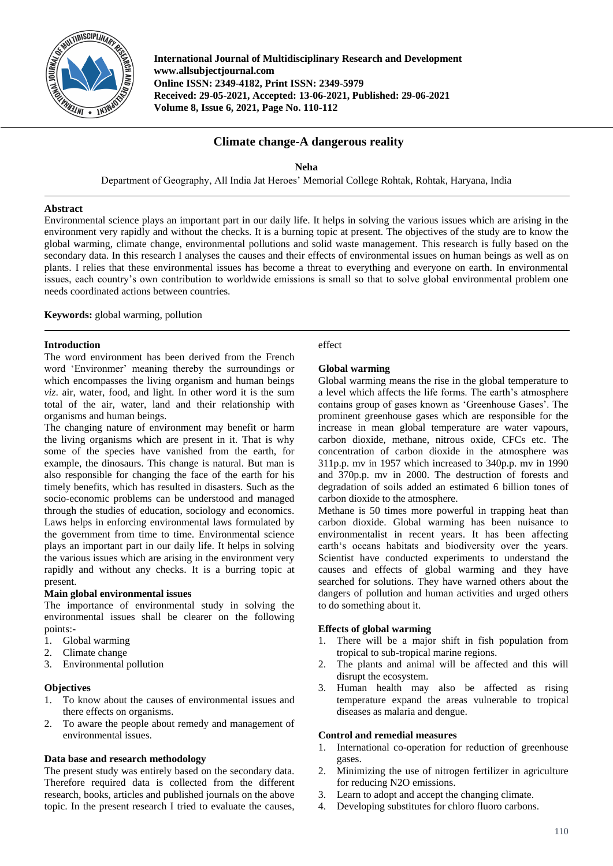

**International Journal of Multidisciplinary Research and Development www.allsubjectjournal.com Online ISSN: 2349-4182, Print ISSN: 2349-5979 Received: 29-05-2021, Accepted: 13-06-2021, Published: 29-06-2021 Volume 8, Issue 6, 2021, Page No. 110-112**

# **Climate change-A dangerous reality**

**Neha**

Department of Geography, All India Jat Heroes' Memorial College Rohtak, Rohtak, Haryana, India

### **Abstract**

Environmental science plays an important part in our daily life. It helps in solving the various issues which are arising in the environment very rapidly and without the checks. It is a burning topic at present. The objectives of the study are to know the global warming, climate change, environmental pollutions and solid waste management. This research is fully based on the secondary data. In this research I analyses the causes and their effects of environmental issues on human beings as well as on plants. I relies that these environmental issues has become a threat to everything and everyone on earth. In environmental issues, each country's own contribution to worldwide emissions is small so that to solve global environmental problem one needs coordinated actions between countries.

**Keywords:** global warming, pollution

### **Introduction**

The word environment has been derived from the French word 'Environmer' meaning thereby the surroundings or which encompasses the living organism and human beings *viz*. air, water, food, and light. In other word it is the sum total of the air, water, land and their relationship with organisms and human beings.

The changing nature of environment may benefit or harm the living organisms which are present in it. That is why some of the species have vanished from the earth, for example, the dinosaurs. This change is natural. But man is also responsible for changing the face of the earth for his timely benefits, which has resulted in disasters. Such as the socio-economic problems can be understood and managed through the studies of education, sociology and economics. Laws helps in enforcing environmental laws formulated by the government from time to time. Environmental science plays an important part in our daily life. It helps in solving the various issues which are arising in the environment very rapidly and without any checks. It is a burring topic at present.

### **Main global environmental issues**

The importance of environmental study in solving the environmental issues shall be clearer on the following points:-

- 1. Global warming
- 2. Climate change
- 3. Environmental pollution

### **Objectives**

- 1. To know about the causes of environmental issues and there effects on organisms.
- 2. To aware the people about remedy and management of environmental issues.

## **Data base and research methodology**

The present study was entirely based on the secondary data. Therefore required data is collected from the different research, books, articles and published journals on the above topic. In the present research I tried to evaluate the causes, effect

### **Global warming**

Global warming means the rise in the global temperature to a level which affects the life forms. The earth's atmosphere contains group of gases known as 'Greenhouse Gases'. The prominent greenhouse gases which are responsible for the increase in mean global temperature are water vapours, carbon dioxide, methane, nitrous oxide, CFCs etc. The concentration of carbon dioxide in the atmosphere was 311p.p. mv in 1957 which increased to 340p.p. mv in 1990 and 370p.p. mv in 2000. The destruction of forests and degradation of soils added an estimated 6 billion tones of carbon dioxide to the atmosphere.

Methane is 50 times more powerful in trapping heat than carbon dioxide. Global warming has been nuisance to environmentalist in recent years. It has been affecting earth's oceans habitats and biodiversity over the years. Scientist have conducted experiments to understand the causes and effects of global warming and they have searched for solutions. They have warned others about the dangers of pollution and human activities and urged others to do something about it.

# **Effects of global warming**

- 1. There will be a major shift in fish population from tropical to sub-tropical marine regions.
- 2. The plants and animal will be affected and this will disrupt the ecosystem.
- 3. Human health may also be affected as rising temperature expand the areas vulnerable to tropical diseases as malaria and dengue.

### **Control and remedial measures**

- 1. International co-operation for reduction of greenhouse gases.
- 2. Minimizing the use of nitrogen fertilizer in agriculture for reducing N2O emissions.
- 3. Learn to adopt and accept the changing climate.
- 4. Developing substitutes for chloro fluoro carbons.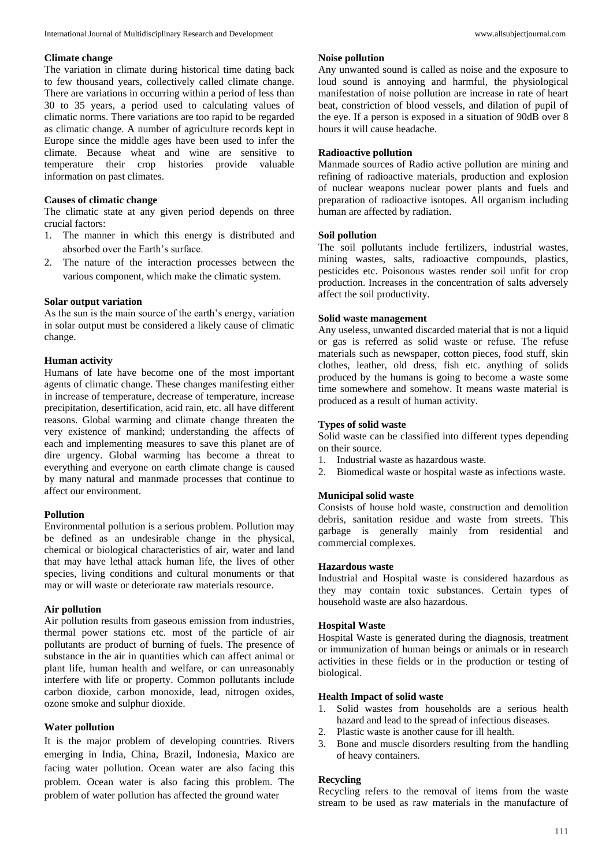#### **Climate change**

The variation in climate during historical time dating back to few thousand years, collectively called climate change. There are variations in occurring within a period of less than 30 to 35 years, a period used to calculating values of climatic norms. There variations are too rapid to be regarded as climatic change. A number of agriculture records kept in Europe since the middle ages have been used to infer the climate. Because wheat and wine are sensitive to temperature their crop histories provide valuable information on past climates.

## **Causes of climatic change**

The climatic state at any given period depends on three crucial factors:

- 1. The manner in which this energy is distributed and absorbed over the Earth's surface.
- 2. The nature of the interaction processes between the various component, which make the climatic system.

#### **Solar output variation**

As the sun is the main source of the earth's energy, variation in solar output must be considered a likely cause of climatic change.

### **Human activity**

Humans of late have become one of the most important agents of climatic change. These changes manifesting either in increase of temperature, decrease of temperature, increase precipitation, desertification, acid rain, etc. all have different reasons. Global warming and climate change threaten the very existence of mankind; understanding the affects of each and implementing measures to save this planet are of dire urgency. Global warming has become a threat to everything and everyone on earth climate change is caused by many natural and manmade processes that continue to affect our environment.

### **Pollution**

Environmental pollution is a serious problem. Pollution may be defined as an undesirable change in the physical, chemical or biological characteristics of air, water and land that may have lethal attack human life, the lives of other species, living conditions and cultural monuments or that may or will waste or deteriorate raw materials resource.

#### **Air pollution**

Air pollution results from gaseous emission from industries, thermal power stations etc. most of the particle of air pollutants are product of burning of fuels. The presence of substance in the air in quantities which can affect animal or plant life, human health and welfare, or can unreasonably interfere with life or property. Common pollutants include carbon dioxide, carbon monoxide, lead, nitrogen oxides, ozone smoke and sulphur dioxide.

# **Water pollution**

It is the major problem of developing countries. Rivers emerging in India, China, Brazil, Indonesia, Maxico are facing water pollution. Ocean water are also facing this problem. Ocean water is also facing this problem. The problem of water pollution has affected the ground water

### **Noise pollution**

Any unwanted sound is called as noise and the exposure to loud sound is annoying and harmful, the physiological manifestation of noise pollution are increase in rate of heart beat, constriction of blood vessels, and dilation of pupil of the eye. If a person is exposed in a situation of 90dB over 8 hours it will cause headache.

### **Radioactive pollution**

Manmade sources of Radio active pollution are mining and refining of radioactive materials, production and explosion of nuclear weapons nuclear power plants and fuels and preparation of radioactive isotopes. All organism including human are affected by radiation.

#### **Soil pollution**

The soil pollutants include fertilizers, industrial wastes, mining wastes, salts, radioactive compounds, plastics, pesticides etc. Poisonous wastes render soil unfit for crop production. Increases in the concentration of salts adversely affect the soil productivity.

#### **Solid waste management**

Any useless, unwanted discarded material that is not a liquid or gas is referred as solid waste or refuse. The refuse materials such as newspaper, cotton pieces, food stuff, skin clothes, leather, old dress, fish etc. anything of solids produced by the humans is going to become a waste some time somewhere and somehow. It means waste material is produced as a result of human activity.

#### **Types of solid waste**

Solid waste can be classified into different types depending on their source.

- 1. Industrial waste as hazardous waste.
- 2. Biomedical waste or hospital waste as infections waste.

#### **Municipal solid waste**

Consists of house hold waste, construction and demolition debris, sanitation residue and waste from streets. This garbage is generally mainly from residential and commercial complexes.

#### **Hazardous waste**

Industrial and Hospital waste is considered hazardous as they may contain toxic substances. Certain types of household waste are also hazardous.

#### **Hospital Waste**

Hospital Waste is generated during the diagnosis, treatment or immunization of human beings or animals or in research activities in these fields or in the production or testing of biological.

### **Health Impact of solid waste**

- 1. Solid wastes from households are a serious health hazard and lead to the spread of infectious diseases.
- 2. Plastic waste is another cause for ill health.
- 3. Bone and muscle disorders resulting from the handling of heavy containers.

#### **Recycling**

Recycling refers to the removal of items from the waste stream to be used as raw materials in the manufacture of